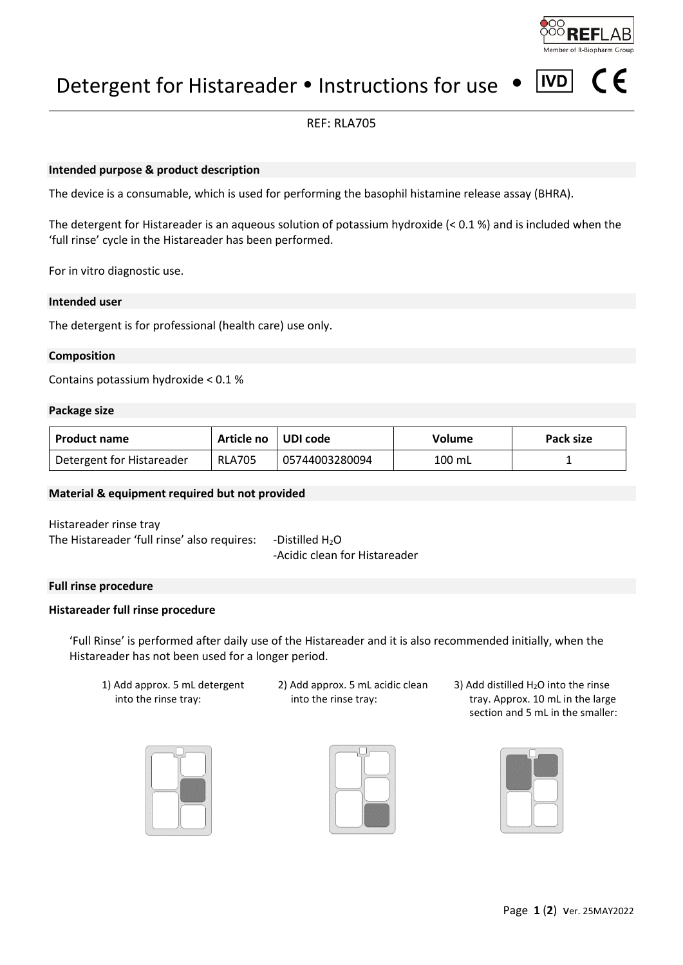# Detergent for Histareader • Instructions for use

# REF: RLA705

# **Intended purpose & product description**

The device is a consumable, which is used for performing the basophil histamine release assay (BHRA).

The detergent for Histareader is an aqueous solution of potassium hydroxide (< 0.1 %) and is included when the 'full rinse' cycle in the Histareader has been performed.

For in vitro diagnostic use.

#### **Intended user**

The detergent is for professional (health care) use only.

## **Composition**

Contains potassium hydroxide < 0.1 %

#### **Package size**

| <b>Product name</b>       | Article no l  | UDI code       | Volume   | Pack size |
|---------------------------|---------------|----------------|----------|-----------|
| Detergent for Histareader | <b>RLA705</b> | 05744003280094 | $100$ mL |           |

# **Material & equipment required but not provided**

Histareader rinse tray The Histareader 'full rinse' also requires: -Distilled  $H_2O$ -Acidic clean for Histareader

# **Full rinse procedure**

#### **Histareader full rinse procedure**

'Full Rinse' is performed after daily use of the Histareader and it is also recommended initially, when the Histareader has not been used for a longer period.

- 1) Add approx. 5 mL detergent into the rinse tray:
- 2) Add approx. 5 mL acidic clean into the rinse tray:
- 3) Add distilled H2O into the rinse tray. Approx. 10 mL in the large section and 5 mL in the smaller:







**IVD**